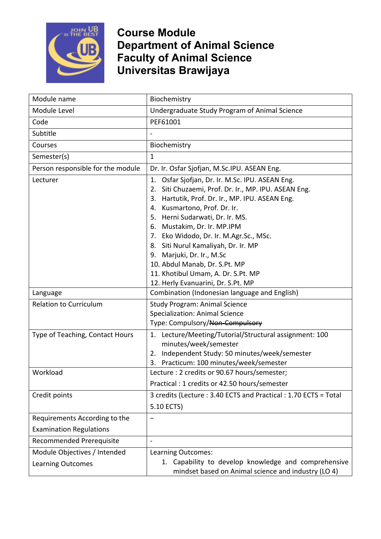

| Module name                                                     | Biochemistry                                                                                                                                                                                                                                                                                                                                                                                                                                                                                     |
|-----------------------------------------------------------------|--------------------------------------------------------------------------------------------------------------------------------------------------------------------------------------------------------------------------------------------------------------------------------------------------------------------------------------------------------------------------------------------------------------------------------------------------------------------------------------------------|
| Module Level                                                    | Undergraduate Study Program of Animal Science                                                                                                                                                                                                                                                                                                                                                                                                                                                    |
| Code                                                            | PEF61001                                                                                                                                                                                                                                                                                                                                                                                                                                                                                         |
| Subtitle                                                        |                                                                                                                                                                                                                                                                                                                                                                                                                                                                                                  |
| Courses                                                         | Biochemistry                                                                                                                                                                                                                                                                                                                                                                                                                                                                                     |
| Semester(s)                                                     | $\mathbf{1}$                                                                                                                                                                                                                                                                                                                                                                                                                                                                                     |
| Person responsible for the module                               | Dr. Ir. Osfar Sjofjan, M.Sc.IPU. ASEAN Eng.                                                                                                                                                                                                                                                                                                                                                                                                                                                      |
| Lecturer                                                        | Osfar Sjofjan, Dr. Ir. M.Sc. IPU. ASEAN Eng.<br>1.<br>Siti Chuzaemi, Prof. Dr. Ir., MP. IPU. ASEAN Eng.<br>2.<br>Hartutik, Prof. Dr. Ir., MP. IPU. ASEAN Eng.<br>3.<br>4. Kusmartono, Prof. Dr. Ir.<br>5. Herni Sudarwati, Dr. Ir. MS.<br>6. Mustakim, Dr. Ir. MP.IPM<br>7. Eko Widodo, Dr. Ir. M.Agr.Sc., MSc.<br>8. Siti Nurul Kamaliyah, Dr. Ir. MP<br>9. Marjuki, Dr. Ir., M.Sc<br>10. Abdul Manab, Dr. S.Pt. MP<br>11. Khotibul Umam, A. Dr. S.Pt. MP<br>12. Herly Evanuarini, Dr. S.Pt. MP |
| Language                                                        | Combination (Indonesian language and English)                                                                                                                                                                                                                                                                                                                                                                                                                                                    |
| <b>Relation to Curriculum</b>                                   | <b>Study Program: Animal Science</b><br><b>Specialization: Animal Science</b><br>Type: Compulsory/Non-Compulsory                                                                                                                                                                                                                                                                                                                                                                                 |
| Type of Teaching, Contact Hours                                 | 1. Lecture/Meeting/Tutorial/Structural assignment: 100<br>minutes/week/semester<br>Independent Study: 50 minutes/week/semester<br>2.<br>Practicum: 100 minutes/week/semester<br>3.                                                                                                                                                                                                                                                                                                               |
| Workload                                                        | Lecture : 2 credits or 90.67 hours/semester;<br>Practical: 1 credits or 42.50 hours/semester                                                                                                                                                                                                                                                                                                                                                                                                     |
| Credit points                                                   | 3 credits (Lecture: 3.40 ECTS and Practical: 1.70 ECTS = Total<br>5.10 ECTS)                                                                                                                                                                                                                                                                                                                                                                                                                     |
| Requirements According to the<br><b>Examination Regulations</b> | $\qquad \qquad -$                                                                                                                                                                                                                                                                                                                                                                                                                                                                                |
| Recommended Prerequisite                                        | $\blacksquare$                                                                                                                                                                                                                                                                                                                                                                                                                                                                                   |
| Module Objectives / Intended<br><b>Learning Outcomes</b>        | Learning Outcomes:<br>1. Capability to develop knowledge and comprehensive<br>mindset based on Animal science and industry (LO 4)                                                                                                                                                                                                                                                                                                                                                                |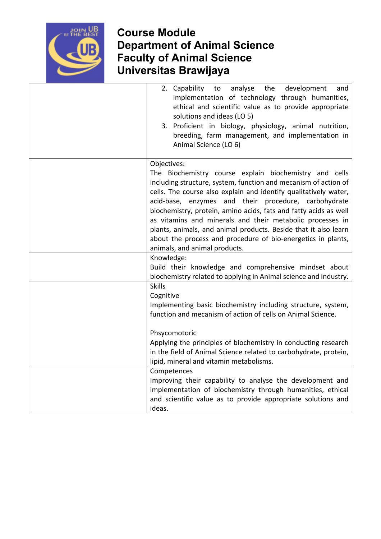

| 2. Capability<br>analyse<br>the<br>to<br>development<br>and<br>implementation of technology through humanities,<br>ethical and scientific value as to provide appropriate<br>solutions and ideas (LO 5)<br>3. Proficient in biology, physiology, animal nutrition,<br>breeding, farm management, and implementation in<br>Animal Science (LO 6)                                                                                                                                                                                                                           |
|---------------------------------------------------------------------------------------------------------------------------------------------------------------------------------------------------------------------------------------------------------------------------------------------------------------------------------------------------------------------------------------------------------------------------------------------------------------------------------------------------------------------------------------------------------------------------|
| Objectives:<br>The Biochemistry course explain biochemistry and cells<br>including structure, system, function and mecanism of action of<br>cells. The course also explain and identify qualitatively water,<br>acid-base, enzymes and their procedure, carbohydrate<br>biochemistry, protein, amino acids, fats and fatty acids as well<br>as vitamins and minerals and their metabolic processes in<br>plants, animals, and animal products. Beside that it also learn<br>about the process and procedure of bio-energetics in plants,<br>animals, and animal products. |
| Knowledge:<br>Build their knowledge and comprehensive mindset about<br>biochemistry related to applying in Animal science and industry.                                                                                                                                                                                                                                                                                                                                                                                                                                   |
| <b>Skills</b><br>Cognitive<br>Implementing basic biochemistry including structure, system,<br>function and mecanism of action of cells on Animal Science.<br>Phsycomotoric                                                                                                                                                                                                                                                                                                                                                                                                |
| Applying the principles of biochemistry in conducting research<br>in the field of Animal Science related to carbohydrate, protein,<br>lipid, mineral and vitamin metabolisms.                                                                                                                                                                                                                                                                                                                                                                                             |
| Competences<br>Improving their capability to analyse the development and<br>implementation of biochemistry through humanities, ethical<br>and scientific value as to provide appropriate solutions and<br>ideas.                                                                                                                                                                                                                                                                                                                                                          |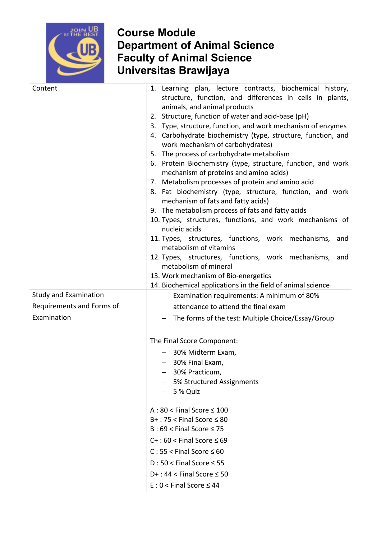

| Content                      | 1. Learning plan, lecture contracts, biochemical history,<br>structure, function, and differences in cells in plants,<br>animals, and animal products<br>2. Structure, function of water and acid-base (pH)<br>3. Type, structure, function, and work mechanism of enzymes<br>4. Carbohydrate biochemistry (type, structure, function, and<br>work mechanism of carbohydrates)<br>5. The process of carbohydrate metabolism<br>6. Protein Biochemistry (type, structure, function, and work<br>mechanism of proteins and amino acids)<br>7. Metabolism processes of protein and amino acid<br>8. Fat biochemistry (type, structure, function, and work<br>mechanism of fats and fatty acids)<br>9. The metabolism process of fats and fatty acids<br>10. Types, structures, functions, and work mechanisms of<br>nucleic acids<br>11. Types, structures, functions, work mechanisms, and<br>metabolism of vitamins<br>12. Types, structures, functions, work mechanisms, and<br>metabolism of mineral<br>13. Work mechanism of Bio-energetics<br>14. Biochemical applications in the field of animal science |
|------------------------------|--------------------------------------------------------------------------------------------------------------------------------------------------------------------------------------------------------------------------------------------------------------------------------------------------------------------------------------------------------------------------------------------------------------------------------------------------------------------------------------------------------------------------------------------------------------------------------------------------------------------------------------------------------------------------------------------------------------------------------------------------------------------------------------------------------------------------------------------------------------------------------------------------------------------------------------------------------------------------------------------------------------------------------------------------------------------------------------------------------------|
| <b>Study and Examination</b> | - Examination requirements: A minimum of 80%                                                                                                                                                                                                                                                                                                                                                                                                                                                                                                                                                                                                                                                                                                                                                                                                                                                                                                                                                                                                                                                                 |
| Requirements and Forms of    | attendance to attend the final exam                                                                                                                                                                                                                                                                                                                                                                                                                                                                                                                                                                                                                                                                                                                                                                                                                                                                                                                                                                                                                                                                          |
| Examination                  |                                                                                                                                                                                                                                                                                                                                                                                                                                                                                                                                                                                                                                                                                                                                                                                                                                                                                                                                                                                                                                                                                                              |
|                              | The forms of the test: Multiple Choice/Essay/Group                                                                                                                                                                                                                                                                                                                                                                                                                                                                                                                                                                                                                                                                                                                                                                                                                                                                                                                                                                                                                                                           |
|                              | The Final Score Component:                                                                                                                                                                                                                                                                                                                                                                                                                                                                                                                                                                                                                                                                                                                                                                                                                                                                                                                                                                                                                                                                                   |
|                              | - 30% Midterm Exam,                                                                                                                                                                                                                                                                                                                                                                                                                                                                                                                                                                                                                                                                                                                                                                                                                                                                                                                                                                                                                                                                                          |
|                              | $-$ 30% Final Exam,                                                                                                                                                                                                                                                                                                                                                                                                                                                                                                                                                                                                                                                                                                                                                                                                                                                                                                                                                                                                                                                                                          |
|                              | 30% Practicum,                                                                                                                                                                                                                                                                                                                                                                                                                                                                                                                                                                                                                                                                                                                                                                                                                                                                                                                                                                                                                                                                                               |
|                              | 5% Structured Assignments<br>5 % Quiz                                                                                                                                                                                                                                                                                                                                                                                                                                                                                                                                                                                                                                                                                                                                                                                                                                                                                                                                                                                                                                                                        |
|                              |                                                                                                                                                                                                                                                                                                                                                                                                                                                                                                                                                                                                                                                                                                                                                                                                                                                                                                                                                                                                                                                                                                              |
|                              | $A:80 <$ Final Score $\leq 100$<br>$B+$ : 75 < Final Score $\leq 80$<br>$B:69 <$ Final Score $\leq 75$                                                                                                                                                                                                                                                                                                                                                                                                                                                                                                                                                                                                                                                                                                                                                                                                                                                                                                                                                                                                       |
|                              | $C+$ : 60 < Final Score $\leq 69$                                                                                                                                                                                                                                                                                                                                                                                                                                                                                                                                                                                                                                                                                                                                                                                                                                                                                                                                                                                                                                                                            |
|                              | $C: 55 <$ Final Score $\leq 60$                                                                                                                                                                                                                                                                                                                                                                                                                                                                                                                                                                                                                                                                                                                                                                                                                                                                                                                                                                                                                                                                              |
|                              | $D:50 <$ Final Score $\leq 55$                                                                                                                                                                                                                                                                                                                                                                                                                                                                                                                                                                                                                                                                                                                                                                                                                                                                                                                                                                                                                                                                               |
|                              | $D+$ : 44 < Final Score $\leq$ 50                                                                                                                                                                                                                                                                                                                                                                                                                                                                                                                                                                                                                                                                                                                                                                                                                                                                                                                                                                                                                                                                            |
|                              | $E: 0 <$ Final Score $\leq 44$                                                                                                                                                                                                                                                                                                                                                                                                                                                                                                                                                                                                                                                                                                                                                                                                                                                                                                                                                                                                                                                                               |